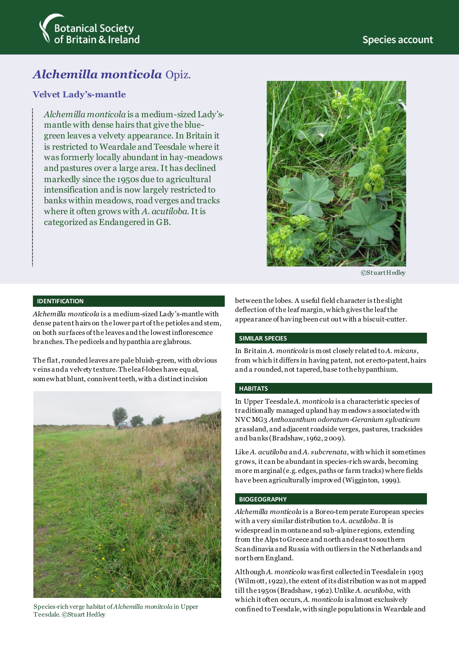

# *Alchemilla monticola* Opiz.

### **Velvet Lady's-mantle**

*Alchemilla monticola* is a medium-sized Lady'smantle with dense hairs that give the bluegreen leaves a velvety appearance. In Britain it is restricted to Weardale and Teesdale where it was formerly locally abundant in hay-meadows and pastures over a large area. It has declined markedly since the 1950s due to agricultural intensification and is now largely restricted to banks within meadows, road verges and tracks where it often grows with *A. acutiloba*. It is categorized as Endangered in GB.



©Stuart Hedley

#### **IDENTIFICATION**

*Alchemilla monticola* is a medium-sized Lady's-mantle with dense patent hairs on the lower part of the petioles and stem, on both surfaces of the leaves and the lowest inflorescence branches. The pedicels and hypanthia are glabrous.

The flat, rounded leaves are pale bluish-green, with obvious v eins and a velvety texture. The leaf-lobes have equal, somewhat blunt, connivent teeth, with a distinct incision



Teesdale. ©Stuart Hedley

between the lobes. A useful field character is the slight deflection of the leaf margin,which gives the leaf the appearance of having been cut out with a biscuit-cutter.

#### **SIMILAR SPECIES**

In Britain *A. monticola* is most closely related to *A. micans,*  from which it differs in having patent, not erecto-patent, hairs and a rounded, not tapered, base to the hypanthium.

#### **HABITATS**

In Upper Teesdale *A. monticola* is a characteristic species of traditionally managed upland hay meadows associated with NVC MG3 *Anthoxanthum odoratum*-*Geranium sylvaticum* grassland, and adjacent roadside verges, pastures, tracksides and banks (Bradshaw, 1962, 2009).

Like *A. acutiloba* and *A. subcrenata*, with which it sometimes grows, it can be abundant in species-rich swards, becoming more marginal (e.g. edges, paths or farm tracks) where fields have been agriculturally improved (Wigginton, 1999).

#### **BIOGEOGRAPHY**

*Alchemilla monticola* is a Boreo-temperate European species with a very similar distribution to *A. acutiloba*. It is widespread in montane and sub-alpine regions, extending from the Alps to Greece and north and east to southern Scandinavia and Russia with outliers in the Netherlands and northern England.

Although *A. monticola* was first collected in Teesdale in 1903  $(Wilmott, 1922)$ , the extent of its distribution was not mapped till the 1950s (Bradshaw, 1962).Unlike *A. acutiloba*, with which it often occurs, *A. monticola* is almost exclusively Species-rich verge habitat of *Alchemilla monitcola* in Upper confined to Teesdale, with single populations in Weardale and